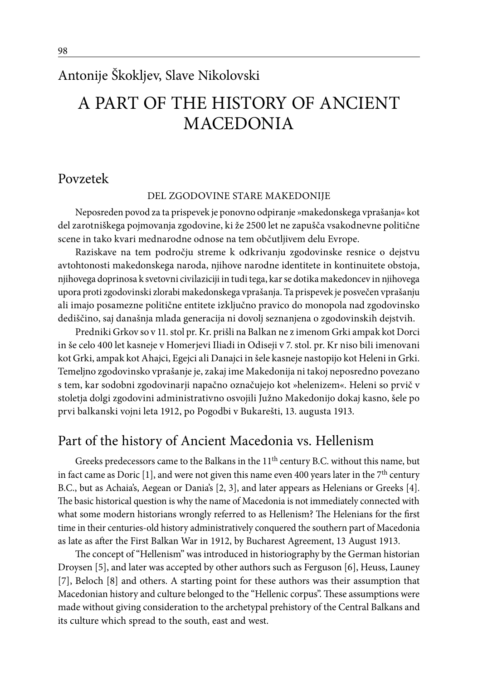# Antonije Škokljev, Slave Nikolovski

# A PART OF THE HISTORY OF ANCIENT MACEDONIA

#### Povzetek

#### Del zgodovine stare Makedonije

Neposreden povod za ta prispevek je ponovno odpiranje »makedonskega vprašanja« kot del zarotniškega pojmovanja zgodovine, ki že 2500 let ne zapušča vsakodnevne politične scene in tako kvari mednarodne odnose na tem občutljivem delu Evrope.

Raziskave na tem področju streme k odkrivanju zgodovinske resnice o dejstvu avtohtonosti makedonskega naroda, njihove narodne identitete in kontinuitete obstoja, njihovega doprinosa k svetovni civilaziciji in tudi tega, kar se dotika makedoncev in njihovega upora proti zgodovinski zlorabi makedonskega vprašanja. Ta prispevek je posvečen vprašanju ali imajo posamezne politične entitete izključno pravico do monopola nad zgodovinsko dediščino, saj današnja mlada generacija ni dovolj seznanjena o zgodovinskih dejstvih.

Predniki Grkov so v 11. stol pr. Kr. prišli na Balkan ne z imenom Grki ampak kot Dorci in še celo 400 let kasneje v Homerjevi Iliadi in Odiseji v 7. stol. pr. Kr niso bili imenovani kot Grki, ampak kot Ahajci, Egejci ali Danajci in šele kasneje nastopijo kot Heleni in Grki. Temeljno zgodovinsko vprašanje je, zakaj ime Makedonija ni takoj neposredno povezano s tem, kar sodobni zgodovinarji napačno označujejo kot »helenizem«. Heleni so prvič v stoletja dolgi zgodovini administrativno osvojili Južno Makedonijo dokaj kasno, šele po prvi balkanski vojni leta 1912, po Pogodbi v Bukarešti, 13. augusta 1913.

## Part of the history of Ancient Macedonia vs. Hellenism

Greeks predecessors came to the Balkans in the  $11<sup>th</sup>$  century B.C. without this name, but in fact came as Doric [1], and were not given this name even 400 years later in the  $7<sup>th</sup>$  century B.C., but as Achaia's, Aegean or Dania's [2, 3], and later appears as Helenians or Greeks [4]. The basic historical question is why the name of Macedonia is not immediately connected with what some modern historians wrongly referred to as Hellenism? The Helenians for the first time in their centuries-old history administratively conquered the southern part of Macedonia as late as after the First Balkan War in 1912, by Bucharest Agreement, 13 August 1913.

The concept of "Hellenism" was introduced in historiography by the German historian Droysen [5], and later was accepted by other authors such as Ferguson [6], Heuss, Launey [7], Beloch [8] and others. A starting point for these authors was their assumption that Macedonian history and culture belonged to the "Hellenic corpus". These assumptions were made without giving consideration to the archetypal prehistory of the Central Balkans and its culture which spread to the south, east and west.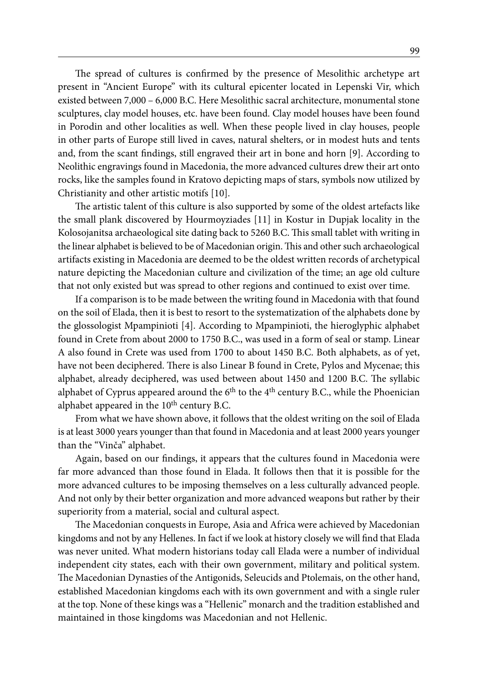The spread of cultures is confirmed by the presence of Mesolithic archetype art present in "Ancient Europe" with its cultural epicenter located in Lepenski Vir, which existed between 7,000 – 6,000 B.C. Here Mesolithic sacral architecture, monumental stone sculptures, clay model houses, etc. have been found. Clay model houses have been found in Porodin and other localities as well. When these people lived in clay houses, people in other parts of Europe still lived in caves, natural shelters, or in modest huts and tents and, from the scant findings, still engraved their art in bone and horn [9]. According to Neolithic engravings found in Macedonia, the more advanced cultures drew their art onto rocks, like the samples found in Kratovo depicting maps of stars, symbols now utilized by Christianity and other artistic motifs [10].

The artistic talent of this culture is also supported by some of the oldest artefacts like the small plank discovered by Hourmoyziades [11] in Kostur in Dupjak locality in the Kolosojanitsa archaeological site dating back to 5260 B.C. This small tablet with writing in the linear alphabet is believed to be of Macedonian origin. This and other such archaeological artifacts existing in Macedonia are deemed to be the oldest written records of archetypical nature depicting the Macedonian culture and civilization of the time; an age old culture that not only existed but was spread to other regions and continued to exist over time.

If a comparison is to be made between the writing found in Macedonia with that found on the soil of Elada, then it is best to resort to the systematization of the alphabets done by the glossologist Mpampinioti [4]. According to Mpampinioti, the hieroglyphic alphabet found in Crete from about 2000 to 1750 B.C., was used in a form of seal or stamp. Linear A also found in Crete was used from 1700 to about 1450 B.C. Both alphabets, as of yet, have not been deciphered. There is also Linear B found in Crete, Pylos and Mycenae; this alphabet, already deciphered, was used between about 1450 and 1200 B.C. The syllabic alphabet of Cyprus appeared around the  $6<sup>th</sup>$  to the  $4<sup>th</sup>$  century B.C., while the Phoenician alphabet appeared in the 10<sup>th</sup> century B.C.

From what we have shown above, it follows that the oldest writing on the soil of Elada is at least 3000 years younger than that found in Macedonia and at least 2000 years younger than the "Vinča" alphabet.

Again, based on our findings, it appears that the cultures found in Macedonia were far more advanced than those found in Elada. It follows then that it is possible for the more advanced cultures to be imposing themselves on a less culturally advanced people. And not only by their better organization and more advanced weapons but rather by their superiority from a material, social and cultural aspect.

The Macedonian conquests in Europe, Asia and Africa were achieved by Macedonian kingdoms and not by any Hellenes. In fact if we look at history closely we will find that Elada was never united. What modern historians today call Elada were a number of individual independent city states, each with their own government, military and political system. The Macedonian Dynasties of the Antigonids, Seleucids and Ptolemais, on the other hand, established Macedonian kingdoms each with its own government and with a single ruler at the top. None of these kings was a "Hellenic" monarch and the tradition established and maintained in those kingdoms was Macedonian and not Hellenic.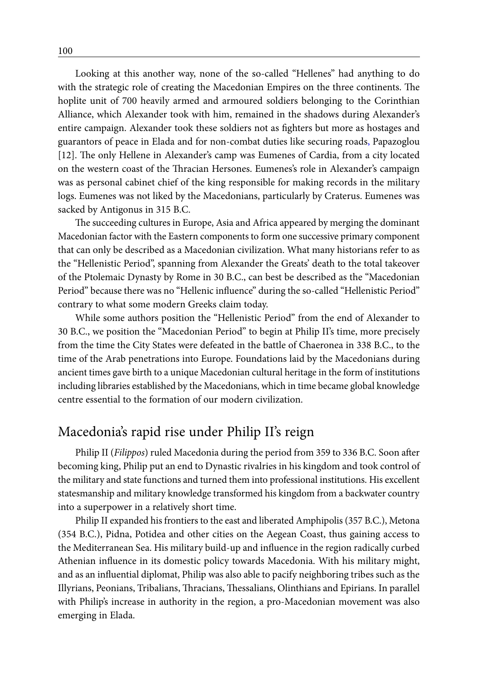Looking at this another way, none of the so-called "Hellenes" had anything to do with the strategic role of creating the Macedonian Empires on the three continents. The hoplite unit of 700 heavily armed and armoured soldiers belonging to the Corinthian Alliance, which Alexander took with him, remained in the shadows during Alexander's entire campaign. Alexander took these soldiers not as fighters but more as hostages and guarantors of peace in Elada and for non-combat duties like securing roads, Papazoglou [12]. The only Hellene in Alexander's camp was Eumenes of Cardia, from a city located on the western coast of the Thracian Hersones. Eumenes's role in Alexander's campaign was as personal cabinet chief of the king responsible for making records in the military logs. Eumenes was not liked by the Macedonians, particularly by Craterus. Eumenes was sacked by Antigonus in 315 B.C.

The succeeding cultures in Europe, Asia and Africa appeared by merging the dominant Macedonian factor with the Eastern components to form one successive primary component that can only be described as a Macedonian civilization. What many historians refer to as the "Hellenistic Period", spanning from Alexander the Greats' death to the total takeover of the Ptolemaic Dynasty by Rome in 30 B.C., can best be described as the "Macedonian Period" because there was no "Hellenic influence" during the so-called "Hellenistic Period" contrary to what some modern Greeks claim today.

While some authors position the "Hellenistic Period" from the end of Alexander to 30 B.C., we position the "Macedonian Period" to begin at Philip II's time, more precisely from the time the City States were defeated in the battle of Chaeronea in 338 B.C., to the time of the Arab penetrations into Europe. Foundations laid by the Macedonians during ancient times gave birth to a unique Macedonian cultural heritage in the form of institutions including libraries established by the Macedonians, which in time became global knowledge centre essential to the formation of our modern civilization.

### Macedonia's rapid rise under Philip II's reign

Philip II (*Filippos*) ruled Macedonia during the period from 359 to 336 B.C. Soon after becoming king, Philip put an end to Dynastic rivalries in his kingdom and took control of the military and state functions and turned them into professional institutions. His excellent statesmanship and military knowledge transformed his kingdom from a backwater country into a superpower in a relatively short time.

Philip II expanded his frontiers to the east and liberated Amphipolis (357 B.C.), Metona (354 B.C.), Pidna, Potidea and other cities on the Aegean Coast, thus gaining access to the Mediterranean Sea. His military build-up and influence in the region radically curbed Athenian influence in its domestic policy towards Macedonia. With his military might, and as an influential diplomat, Philip was also able to pacify neighboring tribes such as the Illyrians, Peonians, Tribalians, Thracians, Thessalians, Olinthians and Epirians. In parallel with Philip's increase in authority in the region, a pro-Macedonian movement was also emerging in Elada.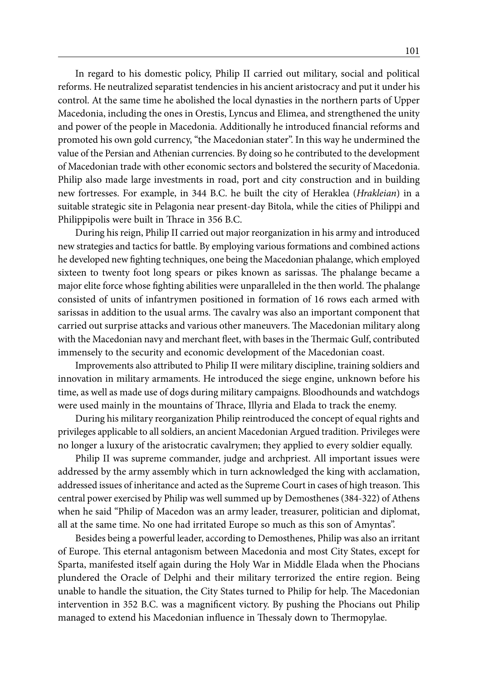In regard to his domestic policy, Philip II carried out military, social and political reforms. He neutralized separatist tendencies in his ancient aristocracy and put it under his control. At the same time he abolished the local dynasties in the northern parts of Upper Macedonia, including the ones in Orestis, Lyncus and Elimea, and strengthened the unity and power of the people in Macedonia. Additionally he introduced financial reforms and promoted his own gold currency, "the Macedonian stater". In this way he undermined the value of the Persian and Athenian currencies. By doing so he contributed to the development of Macedonian trade with other economic sectors and bolstered the security of Macedonia. Philip also made large investments in road, port and city construction and in building new fortresses. For example, in 344 B.C. he built the city of Heraklea (*Hrakleian*) in a suitable strategic site in Pelagonia near present-day Bitola, while the cities of Philippi and Philippipolis were built in Thrace in 356 B.C.

During his reign, Philip II carried out major reorganization in his army and introduced new strategies and tactics for battle. By employing various formations and combined actions he developed new fighting techniques, one being the Macedonian phalange, which employed sixteen to twenty foot long spears or pikes known as sarissas. The phalange became a major elite force whose fighting abilities were unparalleled in the then world. The phalange consisted of units of infantrymen positioned in formation of 16 rows each armed with sarissas in addition to the usual arms. The cavalry was also an important component that carried out surprise attacks and various other maneuvers. The Macedonian military along with the Macedonian navy and merchant fleet, with bases in the Thermaic Gulf, contributed immensely to the security and economic development of the Macedonian coast.

Improvements also attributed to Philip II were military discipline, training soldiers and innovation in military armaments. He introduced the siege engine, unknown before his time, as well as made use of dogs during military campaigns. Bloodhounds and watchdogs were used mainly in the mountains of Thrace, Illyria and Elada to track the enemy.

During his military reorganization Philip reintroduced the concept of equal rights and privileges applicable to all soldiers, an ancient Macedonian Argued tradition. Privileges were no longer a luxury of the aristocratic cavalrymen; they applied to every soldier equally.

Philip II was supreme commander, judge and archpriest. All important issues were addressed by the army assembly which in turn acknowledged the king with acclamation, addressed issues of inheritance and acted as the Supreme Court in cases of high treason. This central power exercised by Philip was well summed up by Demosthenes (384-322) of Athens when he said "Philip of Macedon was an army leader, treasurer, politician and diplomat, all at the same time. No one had irritated Europe so much as this son of Amyntas".

Besides being a powerful leader, according to Demosthenes, Philip was also an irritant of Europe. This eternal antagonism between Macedonia and most City States, except for Sparta, manifested itself again during the Holy War in Middle Elada when the Phocians plundered the Oracle of Delphi and their military terrorized the entire region. Being unable to handle the situation, the City States turned to Philip for help. The Macedonian intervention in 352 B.C. was a magnificent victory. By pushing the Phocians out Philip managed to extend his Macedonian influence in Thessaly down to Thermopylae.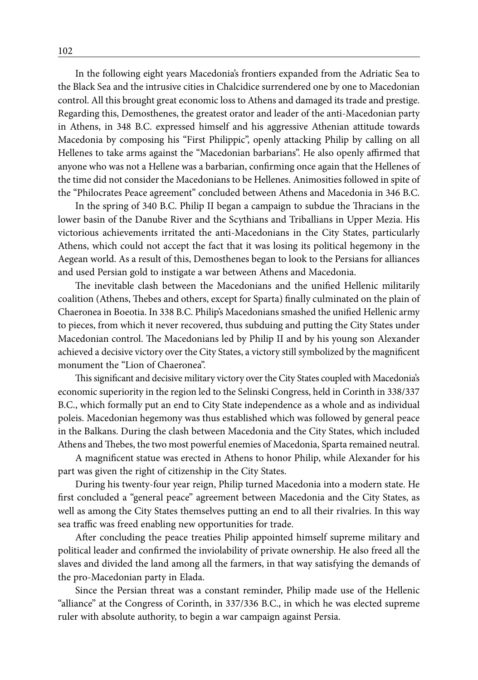In the following eight years Macedonia's frontiers expanded from the Adriatic Sea to the Black Sea and the intrusive cities in Chalcidice surrendered one by one to Macedonian control. All this brought great economic loss to Athens and damaged its trade and prestige. Regarding this, Demosthenes, the greatest orator and leader of the anti-Macedonian party in Athens, in 348 B.C. expressed himself and his aggressive Athenian attitude towards Macedonia by composing his "First Philippic", openly attacking Philip by calling on all Hellenes to take arms against the "Macedonian barbarians". He also openly affirmed that anyone who was not a Hellene was a barbarian, confirming once again that the Hellenes of the time did not consider the Macedonians to be Hellenes. Animosities followed in spite of the "Philocrates Peace agreement" concluded between Athens and Macedonia in 346 B.C.

In the spring of 340 B.C. Philip II began a campaign to subdue the Thracians in the lower basin of the Danube River and the Scythians and Triballians in Upper Mezia. His victorious achievements irritated the anti-Macedonians in the City States, particularly Athens, which could not accept the fact that it was losing its political hegemony in the Aegean world. As a result of this, Demosthenes began to look to the Persians for alliances and used Persian gold to instigate a war between Athens and Macedonia.

The inevitable clash between the Macedonians and the unified Hellenic militarily coalition (Athens, Thebes and others, except for Sparta) finally culminated on the plain of Chaeronea in Boeotia. In 338 B.C. Philip's Macedonians smashed the unified Hellenic army to pieces, from which it never recovered, thus subduing and putting the City States under Macedonian control. The Macedonians led by Philip II and by his young son Alexander achieved a decisive victory over the City States, a victory still symbolized by the magnificent monument the "Lion of Chaeronea".

This significant and decisive military victory over the City States coupled with Macedonia's economic superiority in the region led to the Selinski Congress, held in Corinth in 338/337 B.C., which formally put an end to City State independence as a whole and as individual poleis. Macedonian hegemony was thus established which was followed by general peace in the Balkans. During the clash between Macedonia and the City States, which included Athens and Thebes, the two most powerful enemies of Macedonia, Sparta remained neutral.

A magnificent statue was erected in Athens to honor Philip, while Alexander for his part was given the right of citizenship in the City States.

During his twenty-four year reign, Philip turned Macedonia into a modern state. He first concluded a "general peace" agreement between Macedonia and the City States, as well as among the City States themselves putting an end to all their rivalries. In this way sea traffic was freed enabling new opportunities for trade.

After concluding the peace treaties Philip appointed himself supreme military and political leader and confirmed the inviolability of private ownership. He also freed all the slaves and divided the land among all the farmers, in that way satisfying the demands of the pro-Macedonian party in Elada.

Since the Persian threat was a constant reminder, Philip made use of the Hellenic "alliance" at the Congress of Corinth, in 337/336 B.C., in which he was elected supreme ruler with absolute authority, to begin a war campaign against Persia.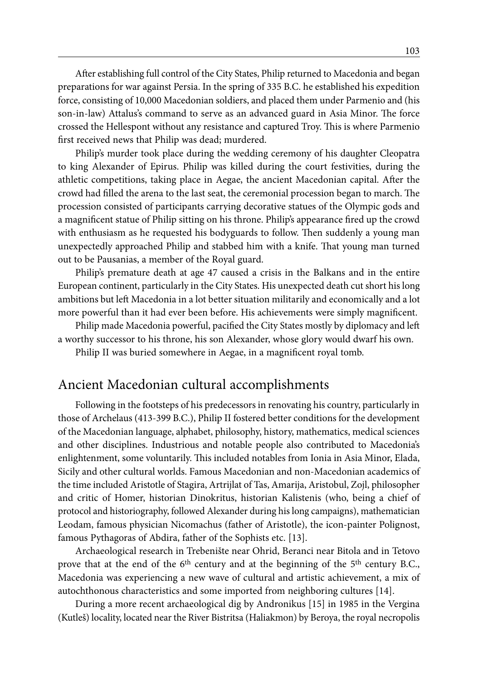After establishing full control of the City States, Philip returned to Macedonia and began preparations for war against Persia. In the spring of 335 B.C. he established his expedition force, consisting of 10,000 Macedonian soldiers, and placed them under Parmenio and (his son-in-law) Attalus's command to serve as an advanced guard in Asia Minor. The force crossed the Hellespont without any resistance and captured Troy. This is where Parmenio first received news that Philip was dead; murdered.

Philip's murder took place during the wedding ceremony of his daughter Cleopatra to king Alexander of Epirus. Philip was killed during the court festivities, during the athletic competitions, taking place in Aegae, the ancient Macedonian capital. After the crowd had filled the arena to the last seat, the ceremonial procession began to march. The procession consisted of participants carrying decorative statues of the Olympic gods and a magnificent statue of Philip sitting on his throne. Philip's appearance fired up the crowd with enthusiasm as he requested his bodyguards to follow. Then suddenly a young man unexpectedly approached Philip and stabbed him with a knife. That young man turned out to be Pausanias, a member of the Royal guard.

Philip's premature death at age 47 caused a crisis in the Balkans and in the entire European continent, particularly in the City States. His unexpected death cut short his long ambitions but left Macedonia in a lot better situation militarily and economically and a lot more powerful than it had ever been before. His achievements were simply magnificent.

Philip made Macedonia powerful, pacified the City States mostly by diplomacy and left a worthy successor to his throne, his son Alexander, whose glory would dwarf his own.

Philip II was buried somewhere in Aegae, in a magnificent royal tomb.

#### Ancient Macedonian cultural accomplishments

Following in the footsteps of his predecessors in renovating his country, particularly in those of Archelaus (413-399 B.C.), Philip II fostered better conditions for the development of the Macedonian language, alphabet, philosophy, history, mathematics, medical sciences and other disciplines. Industrious and notable people also contributed to Macedonia's enlightenment, some voluntarily. This included notables from Ionia in Asia Minor, Elada, Sicily and other cultural worlds. Famous Macedonian and non-Macedonian academics of the time included Aristotle of Stagira, Artrijlat of Tas, Amarija, Aristobul, Zojl, philosopher and critic of Homer, historian Dinokritus, historian Kalistenis (who, being a chief of protocol and historiography, followed Alexander during his long campaigns), mathematician Leodam, famous physician Nicomachus (father of Aristotle), the icon-painter Polignost, famous Pythagoras of Abdira, father of the Sophists etc. [13].

Archaeological research in Trebenište near Ohrid, Beranci near Bitola and in Tetovo prove that at the end of the 6<sup>th</sup> century and at the beginning of the 5<sup>th</sup> century B.C., Macedonia was experiencing a new wave of cultural and artistic achievement, a mix of autochthonous characteristics and some imported from neighboring cultures [14].

During a more recent archaeological dig by Andronikus [15] in 1985 in the Vergina (Kutleš) locality, located near the River Bistritsa (Haliakmon) by Beroya, the royal necropolis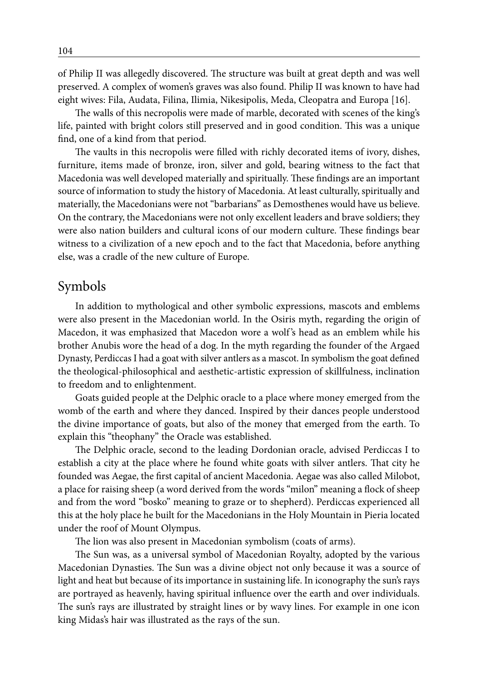of Philip II was allegedly discovered. The structure was built at great depth and was well preserved. A complex of women's graves was also found. Philip II was known to have had eight wives: Fila, Audata, Filina, Ilimia, Nikesipolis, Meda, Cleopatra and Europa [16].

The walls of this necropolis were made of marble, decorated with scenes of the king's life, painted with bright colors still preserved and in good condition. This was a unique find, one of a kind from that period.

The vaults in this necropolis were filled with richly decorated items of ivory, dishes, furniture, items made of bronze, iron, silver and gold, bearing witness to the fact that Macedonia was well developed materially and spiritually. These findings are an important source of information to study the history of Macedonia. At least culturally, spiritually and materially, the Macedonians were not "barbarians" as Demosthenes would have us believe. On the contrary, the Macedonians were not only excellent leaders and brave soldiers; they were also nation builders and cultural icons of our modern culture. These findings bear witness to a civilization of a new epoch and to the fact that Macedonia, before anything else, was a cradle of the new culture of Europe.

#### Symbols

In addition to mythological and other symbolic expressions, mascots and emblems were also present in the Macedonian world. In the Osiris myth, regarding the origin of Macedon, it was emphasized that Macedon wore a wolf 's head as an emblem while his brother Anubis wore the head of a dog. In the myth regarding the founder of the Argaed Dynasty, Perdiccas I had a goat with silver antlers as a mascot. In symbolism the goat defined the theological-philosophical and aesthetic-artistic expression of skillfulness, inclination to freedom and to enlightenment.

Goats guided people at the Delphic oracle to a place where money emerged from the womb of the earth and where they danced. Inspired by their dances people understood the divine importance of goats, but also of the money that emerged from the earth. To explain this "theophany" the Oracle was established.

The Delphic oracle, second to the leading Dordonian oracle, advised Perdiccas I to establish a city at the place where he found white goats with silver antlers. That city he founded was Aegae, the first capital of ancient Macedonia. Aegae was also called Milobot, a place for raising sheep (a word derived from the words "milon" meaning a flock of sheep and from the word "bosko" meaning to graze or to shepherd). Perdiccas experienced all this at the holy place he built for the Macedonians in the Holy Mountain in Pieria located under the roof of Mount Olympus.

The lion was also present in Macedonian symbolism (coats of arms).

The Sun was, as a universal symbol of Macedonian Royalty, adopted by the various Macedonian Dynasties. The Sun was a divine object not only because it was a source of light and heat but because of its importance in sustaining life. In iconography the sun's rays are portrayed as heavenly, having spiritual influence over the earth and over individuals. The sun's rays are illustrated by straight lines or by wavy lines. For example in one icon king Midas's hair was illustrated as the rays of the sun.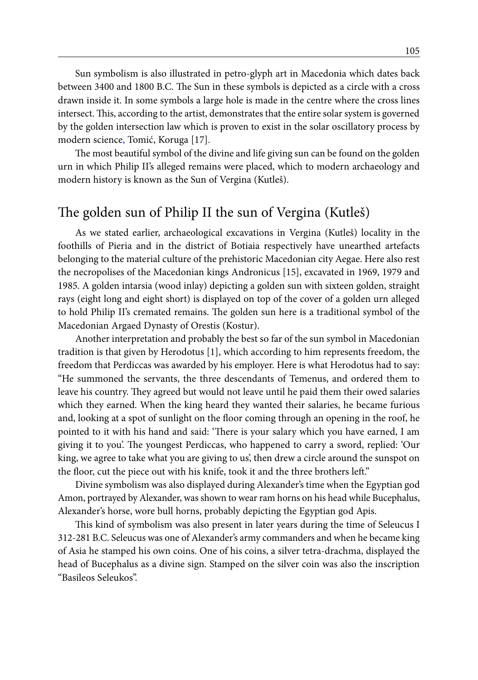Sun symbolism is also illustrated in petro-glyph art in Macedonia which dates back between 3400 and 1800 B.C. The Sun in these symbols is depicted as a circle with a cross drawn inside it. In some symbols a large hole is made in the centre where the cross lines intersect. This, according to the artist, demonstrates that the entire solar system is governed by the golden intersection law which is proven to exist in the solar oscillatory process by modern science, Tomić, Koruga [17].

The most beautiful symbol of the divine and life giving sun can be found on the golden urn in which Philip II's alleged remains were placed, which to modern archaeology and modern history is known as the Sun of Vergina (Kutleš).

### The golden sun of Philip II the sun of Vergina (Kutleš)

As we stated earlier, archaeological excavations in Vergina (Kutleš) locality in the foothills of Pieria and in the district of Botiaia respectively have unearthed artefacts belonging to the material culture of the prehistoric Macedonian city Aegae. Here also rest the necropolises of the Macedonian kings Andronicus [15], excavated in 1969, 1979 and 1985. A golden intarsia (wood inlay) depicting a golden sun with sixteen golden, straight rays (eight long and eight short) is displayed on top of the cover of a golden urn alleged to hold Philip II's cremated remains. The golden sun here is a traditional symbol of the Macedonian Argaed Dynasty of Orestis (Kostur).

Another interpretation and probably the best so far of the sun symbol in Macedonian tradition is that given by Herodotus [1], which according to him represents freedom, the freedom that Perdiccas was awarded by his employer. Here is what Herodotus had to say: "He summoned the servants, the three descendants of Temenus, and ordered them to leave his country. They agreed but would not leave until he paid them their owed salaries which they earned. When the king heard they wanted their salaries, he became furious and, looking at a spot of sunlight on the floor coming through an opening in the roof, he pointed to it with his hand and said: 'There is your salary which you have earned, I am giving it to you'. The youngest Perdiccas, who happened to carry a sword, replied: 'Our king, we agree to take what you are giving to us', then drew a circle around the sunspot on the floor, cut the piece out with his knife, took it and the three brothers left."

Divine symbolism was also displayed during Alexander's time when the Egyptian god Amon, portrayed by Alexander, was shown to wear ram horns on his head while Bucephalus, Alexander's horse, wore bull horns, probably depicting the Egyptian god Apis.

This kind of symbolism was also present in later years during the time of Seleucus I 312-281 B.C. Seleucus was one of Alexander's army commanders and when he became king of Asia he stamped his own coins. One of his coins, a silver tetra-drachma, displayed the head of Bucephalus as a divine sign. Stamped on the silver coin was also the inscription "Basileos Seleukos".